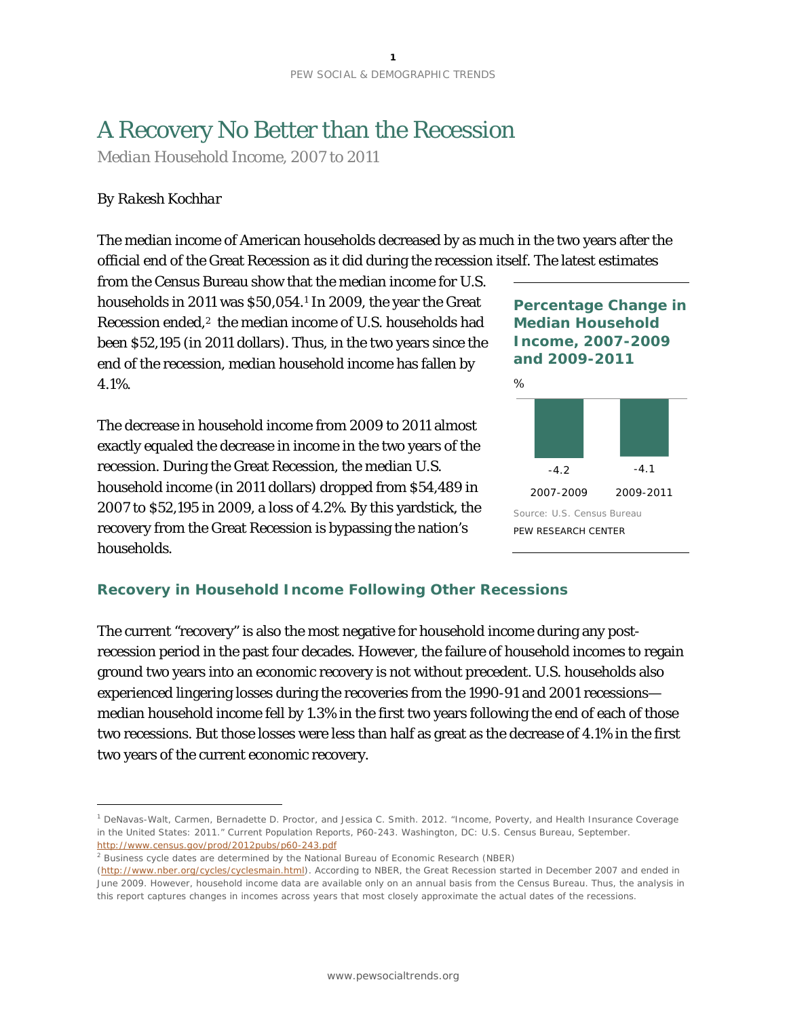# A Recovery No Better than the Recession

*Median Household Income, 2007 to 2011*

## *By Rakesh Kochhar*

1

The median income of American households decreased by as much in the two years after the official end of the Great Recession as it did during the recession itself. The latest estimates

from the Census Bureau show that the median income for U.S. households in 2011 was \$50,054.[1](#page-0-0) In 2009, the year the Great Recession ended,<sup>[2](#page-0-1)</sup> the median income of U.S. households had been \$52,195 (in 2011 dollars). Thus, in the two years since the end of the recession, median household income has fallen by 4.1%.

The decrease in household income from 2009 to 2011 almost exactly equaled the decrease in income in the two years of the recession. During the Great Recession, the median U.S. household income (in 2011 dollars) dropped from \$54,489 in 2007 to \$52,195 in 2009, a loss of 4.2%. By this yardstick, the recovery from the Great Recession is bypassing the nation's households.

**Percentage Change in Median Household Income, 2007-2009 and 2009-2011**



# **Recovery in Household Income Following Other Recessions**

The current "recovery" is also the most negative for household income during any postrecession period in the past four decades. However, the failure of household incomes to regain ground two years into an economic recovery is not without precedent. U.S. households also experienced lingering losses during the recoveries from the 1990-91 and 2001 recessions median household income fell by 1.3% in the first two years following the end of each of those two recessions. But those losses were less than half as great as the decrease of 4.1% in the first two years of the current economic recovery.

<span id="page-0-0"></span><sup>1</sup> DeNavas-Walt, Carmen, Bernadette D. Proctor, and Jessica C. Smith. 2012. "Income, Poverty, and Health Insurance Coverage in the United States: 2011." Current Population Reports, P60-243. Washington, DC: U.S. Census Bureau, September. <http://www.census.gov/prod/2012pubs/p60-243.pdf>

<span id="page-0-1"></span><sup>2</sup> Business cycle dates are determined by the National Bureau of Economic Research (NBER)

[<sup>\(</sup>http://www.nber.org/cycles/cyclesmain.html\)](http://www.nber.org/cycles/cyclesmain.html). According to NBER, the Great Recession started in December 2007 and ended in June 2009. However, household income data are available only on an annual basis from the Census Bureau. Thus, the analysis in this report captures changes in incomes across years that most closely approximate the actual dates of the recessions.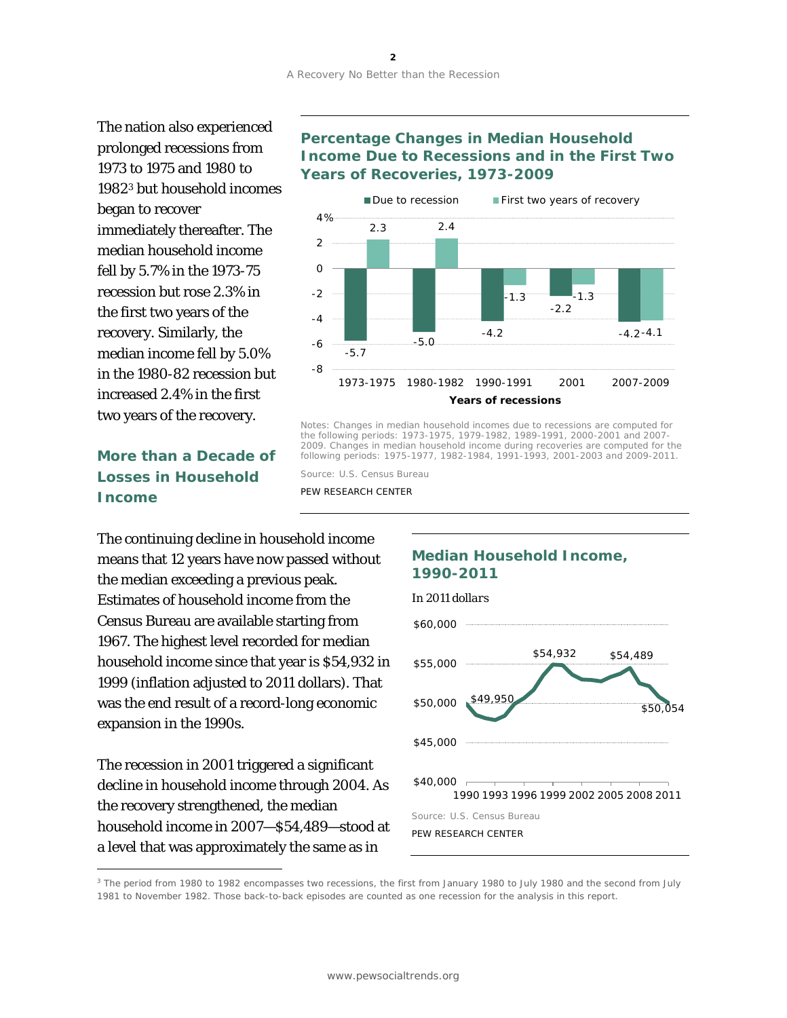The nation also experienced prolonged recessions from 1973 to 1975 and 1980 to 1982[3](#page-1-0) but household incomes fell by 5.7% in the 1973-75 recession but rose 2.3% in the first two years of the recovery. Similarly, the median income fell by 5.0% in the 1980-82 recession but increased 2.4% in the first two years of the recovery. began to recover immediately thereafter. The median household income

# **More than a Decade of Losses in Household Income**

The continuing decline in household income means that 12 years have now passed without the median exceeding a previous peak. Estimates of household income from the Census Bureau are available starting from 1967. The highest level recorded for median household income since that year is \$54,932 in 1999 (inflation adjusted to 2011 dollars). That was the end result of a record-long economic expansion in the 1990s.

The recession in 2001 triggered a significant decline in household income through 2004. As the recovery strengthened, the median household income in 2007—\$54,489—stood at a level that was approximately the same as in

 $\overline{a}$ 

### **Percentage Changes in Median Household Income Due to Recessions and in the First Two Years of Recoveries, 1973-2009**



Notes: Changes in median household incomes due to recessions are computed for the following periods: 1973-1975, 1979-1982, 1989-1991, 2000-2001 and 2007- 2009. Changes in median household income during recoveries are computed for the following periods: 1975-1977, 1982-1984, 1991-1993, 2001-2003 and 2009-2011.

Source: U.S. Census Bureau

PEW RESEARCH CENTER

#### **Median Household Income, 1990-2011**



<span id="page-1-0"></span><sup>3</sup> The period from 1980 to 1982 encompasses two recessions, the first from January 1980 to July 1980 and the second from July 1981 to November 1982. Those back-to-back episodes are counted as one recession for the analysis in this report.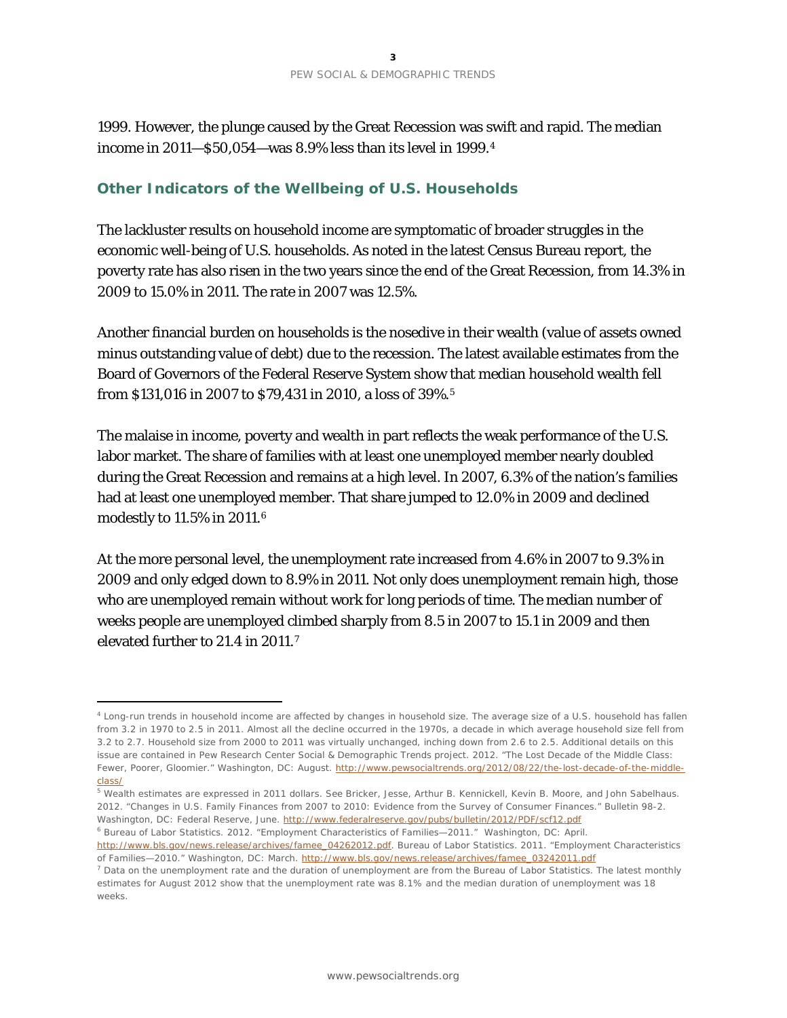1999. However, the plunge caused by the Great Recession was swift and rapid. The median income in 2011—\$50,054—was 8.9% less than its level in 1999.[4](#page-2-0)

### **Other Indicators of the Wellbeing of U.S. Households**

The lackluster results on household income are symptomatic of broader struggles in the economic well-being of U.S. households. As noted in the latest Census Bureau report, the poverty rate has also risen in the two years since the end of the Great Recession, from 14.3% in 2009 to 15.0% in 2011. The rate in 2007 was 12.5%.

Another financial burden on households is the nosedive in their wealth (value of assets owned minus outstanding value of debt) due to the recession. The latest available estimates from the Board of Governors of the Federal Reserve System show that median household wealth fell from \$131,016 in 2007 to \$79,431 in 2010, a loss of 39%.[5](#page-2-1)

The malaise in income, poverty and wealth in part reflects the weak performance of the U.S. labor market. The share of families with at least one unemployed member nearly doubled during the Great Recession and remains at a high level. In 2007, 6.3% of the nation's families had at least one unemployed member. That share jumped to 12.0% in 2009 and declined modestly to 11.5% in 2011.[6](#page-2-2)

At the more personal level, the unemployment rate increased from 4.6% in 2007 to 9.3% in 2009 and only edged down to 8.9% in 2011. Not only does unemployment remain high, those who are unemployed remain without work for long periods of time. The median number of weeks people are unemployed climbed sharply from 8.5 in 2007 to 15.1 in 2009 and then elevated further to 21.4 in 2011.[7](#page-2-3)

1

<span id="page-2-0"></span><sup>4</sup> Long-run trends in household income are affected by changes in household size. The average size of a U.S. household has fallen from 3.2 in 1970 to 2.5 in 2011. Almost all the decline occurred in the 1970s, a decade in which average household size fell from 3.2 to 2.7. Household size from 2000 to 2011 was virtually unchanged, inching down from 2.6 to 2.5. Additional details on this issue are contained in Pew Research Center Social & Demographic Trends project. 2012. "The Lost Decade of the Middle Class: Fewer, Poorer, Gloomier." Washington, DC: August. [http://www.pewsocialtrends.org/2012/08/22/the-lost-decade-of-the-middle](http://www.pewsocialtrends.org/2012/08/22/the-lost-decade-of-the-middle-class/)[class/](http://www.pewsocialtrends.org/2012/08/22/the-lost-decade-of-the-middle-class/)

<span id="page-2-1"></span><sup>5</sup> Wealth estimates are expressed in 2011 dollars. See Bricker, Jesse, Arthur B. Kennickell, Kevin B. Moore, and John Sabelhaus. 2012. "Changes in U.S. Family Finances from 2007 to 2010: Evidence from the Survey of Consumer Finances." Bulletin 98-2. Washington, DC: Federal Reserve, June[. http://www.federalreserve.gov/pubs/bulletin/2012/PDF/scf12.pdf](http://www.federalreserve.gov/pubs/bulletin/2012/PDF/scf12.pdf)

<span id="page-2-2"></span><sup>6</sup> Bureau of Labor Statistics. 2012. "Employment Characteristics of Families—2011." Washington, DC: April. [http://www.bls.gov/news.release/archives/famee\\_04262012.pdf.](http://www.bls.gov/news.release/archives/famee_04262012.pdf) Bureau of Labor Statistics. 2011. "Employment Characteristics of Families-2010." Washington, DC: March. [http://www.bls.gov/news.release/archives/famee\\_03242011.pdf](http://www.bls.gov/news.release/archives/famee_03242011.pdf)

<span id="page-2-3"></span> $<sup>7</sup>$  Data on the unemployment rate and the duration of unemployment are from the Bureau of Labor Statistics. The latest monthly</sup> estimates for August 2012 show that the unemployment rate was 8.1% and the median duration of unemployment was 18 weeks.